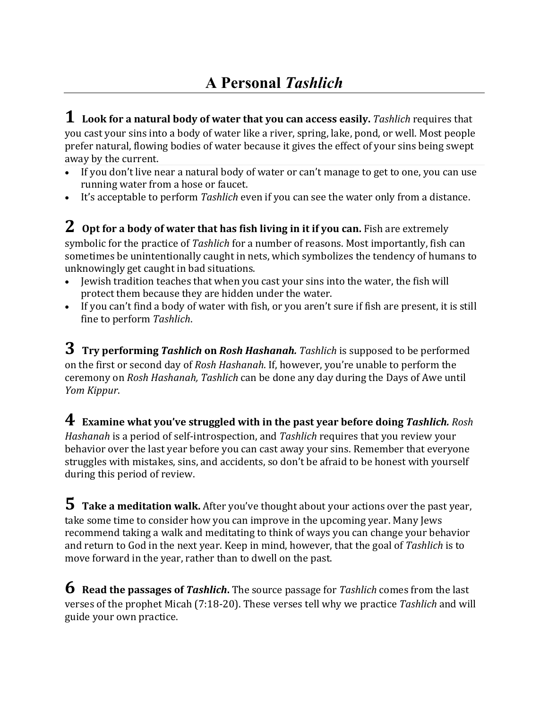**1 Look for <sup>a</sup> natural body of water that you can access easily.** *Tashlich* requires that you cast your sins into a body of water like a river, spring, lake, pond, or well. Most people prefer natural, flowing bodies of water because it gives the effect of your sins being swept away by the current.

- If you don't live near a natural body of water or can't manage to get to one, you can use running water from a hose or faucet.
- It's acceptable to perform *Tashlich* even if you can see the water only from a distance.

**2 Opt for <sup>a</sup> body of water that has fish living in it if you can.** Fish are extremely symbolic for the practice of *Tashlich* for a number of reasons. Most importantly, fish can sometimes be unintentionally caught in nets, which symbolizes the tendency of humans to unknowingly get caught in bad situations.

- Jewish tradition teaches that when you cast your sins into the water, the fish will protect them because they are hidden under the water.
- If you can't find a body of water with fish, or you aren't sure if fish are present, it is still fine to perform *Tashlich*.

 $3$  Try performing *Tashlich* on *Rosh Hashanah. Tashlich* is supposed to be performed on the first or second day of *Rosh Hashanah*. If, however, you're unable to perform the ceremony on *Rosh Hashanah, Tashlich* can be done any day during the Days of Awe until *Yom Kippur*. 

**4 Examine what you've struggled with in the past year before doing** *Tashlich. Rosh Hashanah* is a period of self-introspection, and *Tashlich* requires that you review your behavior over the last year before you can cast away your sins. Remember that everyone struggles with mistakes, sins, and accidents, so don't be afraid to be honest with yourself during this period of review.

**5** Take a meditation walk. After you've thought about your actions over the past year, take some time to consider how you can improve in the upcoming year. Many Jews recommend taking a walk and meditating to think of ways you can change your behavior and return to God in the next year. Keep in mind, however, that the goal of Tashlich is to move forward in the year, rather than to dwell on the past.

**6** Read the passages of Tashlich. The source passage for Tashlich comes from the last verses of the prophet Micah (7:18-20). These verses tell why we practice Tashlich and will guide your own practice.